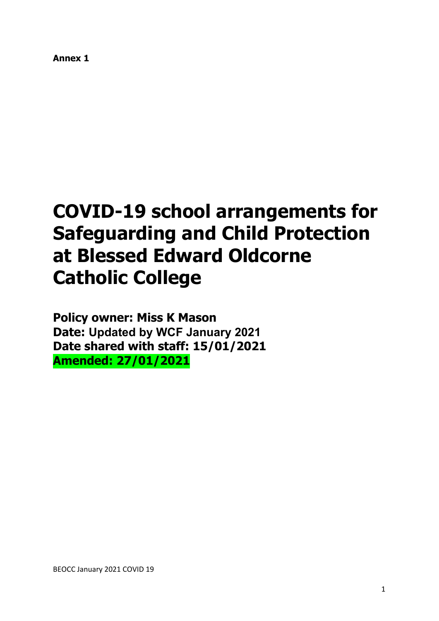**Annex 1**

# **COVID-19 school arrangements for Safeguarding and Child Protection at Blessed Edward Oldcorne Catholic College**

**Policy owner: Miss K Mason Date: Updated by WCF January 2021 Date shared with staff: 15/01/2021 Amended: 27/01/2021**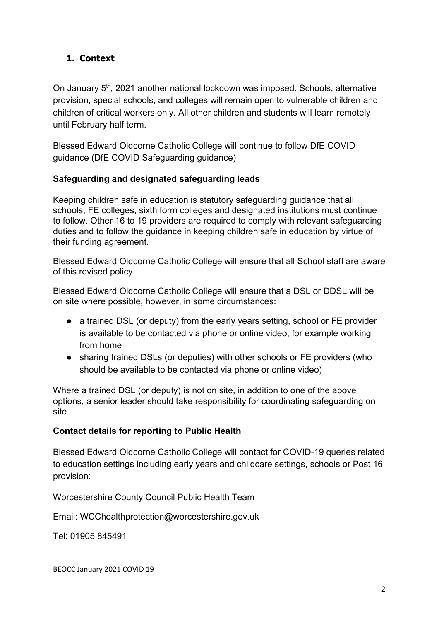## **1. Context**

On January 5<sup>th</sup>, 2021 another national lockdown was imposed. Schools, alternative provision, special schools, and colleges will remain open to vulnerable children and children of critical workers only. All other children and students will learn remotely until February half term.

Blessed Edward Oldcorne Catholic College will continue to follow DfE COVID guidance (DfE COVID Safeguarding guidance)

## **Safeguarding and designated safeguarding leads**

[Keeping children safe in education](https://www.gov.uk/government/publications/keeping-children-safe-in-education--2) is statutory safeguarding guidance that all schools, FE colleges, sixth form colleges and designated institutions must continue to follow. Other 16 to 19 providers are required to comply with relevant safeguarding duties and to follow the guidance in keeping children safe in education by virtue of their funding agreement.

Blessed Edward Oldcorne Catholic College will ensure that all School staff are aware of this revised policy.

Blessed Edward Oldcorne Catholic College will ensure that a DSL or DDSL will be on site where possible, however, in some circumstances:

- a trained DSL (or deputy) from the early years setting, school or FE provider is available to be contacted via phone or online video, for example working from home
- sharing trained DSLs (or deputies) with other schools or FE providers (who should be available to be contacted via phone or online video)

Where a trained DSL (or deputy) is not on site, in addition to one of the above options, a senior leader should take responsibility for coordinating safeguarding on site

## **Contact details for reporting to Public Health**

Blessed Edward Oldcorne Catholic College will contact for COVID-19 queries related to education settings including early years and childcare settings, schools or Post 16 provision:

Worcestershire County Council Public Health Team

Email: WCChealthprotection@worcestershire.gov.uk

Tel: 01905 845491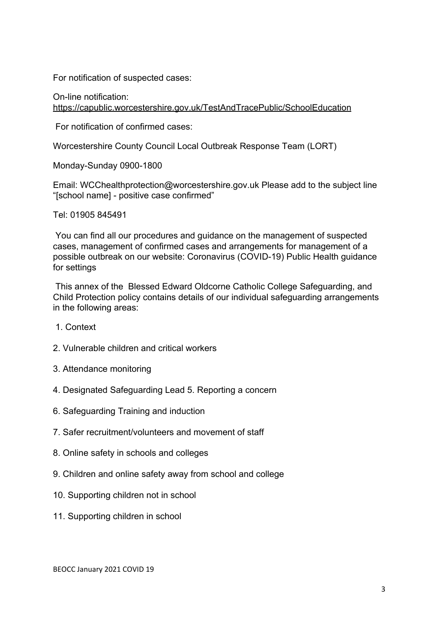For notification of suspected cases:

On-line notification: <https://capublic.worcestershire.gov.uk/TestAndTracePublic/SchoolEducation>

For notification of confirmed cases:

Worcestershire County Council Local Outbreak Response Team (LORT)

Monday-Sunday 0900-1800

Email: WCChealthprotection@worcestershire.gov.uk Please add to the subject line "[school name] - positive case confirmed"

Tel: 01905 845491

 You can find all our procedures and guidance on the management of suspected cases, management of confirmed cases and arrangements for management of a possible outbreak on our website: Coronavirus (COVID-19) Public Health guidance for settings

 This annex of the Blessed Edward Oldcorne Catholic College Safeguarding, and Child Protection policy contains details of our individual safeguarding arrangements in the following areas:

- 1. Context
- 2. Vulnerable children and critical workers
- 3. Attendance monitoring
- 4. Designated Safeguarding Lead 5. Reporting a concern
- 6. Safeguarding Training and induction
- 7. Safer recruitment/volunteers and movement of staff
- 8. Online safety in schools and colleges
- 9. Children and online safety away from school and college
- 10. Supporting children not in school
- 11. Supporting children in school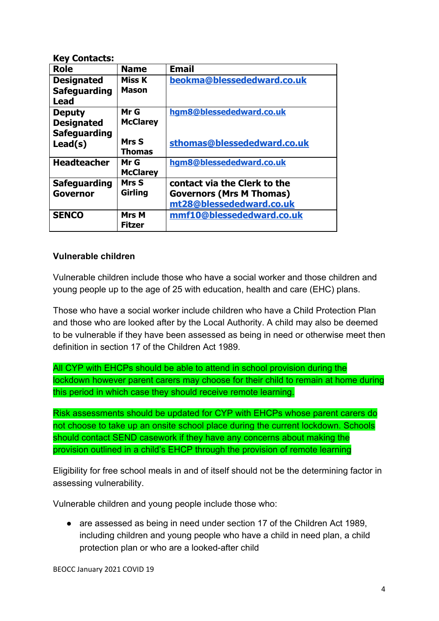| <b>Key Contacts:</b> |                 |                                 |
|----------------------|-----------------|---------------------------------|
| Role                 | <b>Name</b>     | <b>Email</b>                    |
| <b>Designated</b>    | <b>Miss K</b>   | beokma@blessededward.co.uk      |
| <b>Safeguarding</b>  | <b>Mason</b>    |                                 |
| Lead                 |                 |                                 |
| <b>Deputy</b>        | Mr G            | hgm8@blessededward.co.uk        |
| <b>Designated</b>    | <b>McClarey</b> |                                 |
| <b>Safeguarding</b>  |                 |                                 |
| Lead(s)              | Mrs S           | sthomas@blessededward.co.uk     |
|                      | <b>Thomas</b>   |                                 |
| <b>Headteacher</b>   | Mr G            | hqm8@blessededward.co.uk        |
|                      | <b>McClarey</b> |                                 |
| <b>Safeguarding</b>  | Mrs S           | contact via the Clerk to the    |
| <b>Governor</b>      | <b>Girling</b>  | <b>Governors (Mrs M Thomas)</b> |
|                      |                 | mt28@blessededward.co.uk        |
| <b>SENCO</b>         | <b>Mrs M</b>    | mmf10@blessededward.co.uk       |
|                      | <b>Fitzer</b>   |                                 |

## **Vulnerable children**

Vulnerable children include those who have a social worker and those children and young people up to the age of 25 with education, health and care (EHC) plans.

Those who have a social worker include children who have a Child Protection Plan and those who are looked after by the Local Authority. A child may also be deemed to be vulnerable if they have been assessed as being in need or otherwise meet then definition in section 17 of the Children Act 1989.

All CYP with EHCPs should be able to attend in school provision during the lockdown however parent carers may choose for their child to remain at home during this period in which case they should receive remote learning.

Risk assessments should be updated for CYP with EHCPs whose parent carers do not choose to take up an onsite school place during the current lockdown. Schools should contact SEND casework if they have any concerns about making the provision outlined in a child's EHCP through the provision of remote learning

Eligibility for free school meals in and of itself should not be the determining factor in assessing vulnerability.

Vulnerable children and young people include those who:

● are assessed as being in need under section 17 of the Children Act 1989, including children and young people who have a child in need plan, a child protection plan or who are a looked-after child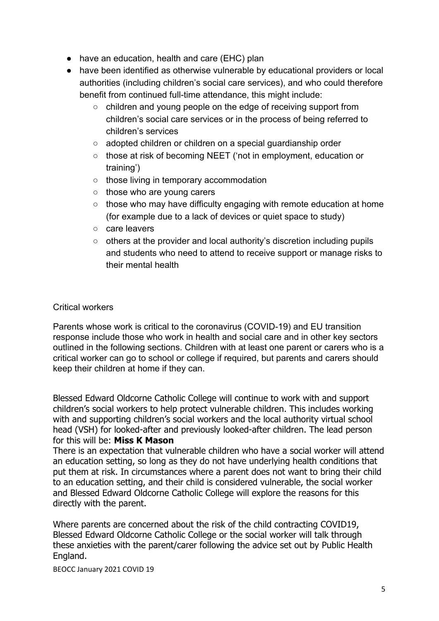- have an education, health and care (EHC) plan
- have been identified as otherwise vulnerable by educational providers or local authorities (including children's social care services), and who could therefore benefit from continued full-time attendance, this might include:
	- children and young people on the edge of receiving support from children's social care services or in the process of being referred to children's services
	- adopted children or children on a special guardianship order
	- those at risk of becoming NEET ('not in employment, education or training')
	- those living in temporary accommodation
	- those who are young carers
	- those who may have difficulty engaging with remote education at home (for example due to a lack of devices or quiet space to study)
	- care leavers
	- others at the provider and local authority's discretion including pupils and students who need to attend to receive support or manage risks to their mental health

## Critical workers

Parents whose work is critical to the coronavirus (COVID-19) and EU transition response include those who work in health and social care and in other key sectors outlined in the following sections. Children with at least one parent or carers who is a critical worker can go to school or college if required, but parents and carers should keep their children at home if they can.

Blessed Edward Oldcorne Catholic College will continue to work with and support children's social workers to help protect vulnerable children. This includes working with and supporting children's social workers and the local authority virtual school head (VSH) for looked-after and previously looked-after children. The lead person for this will be: **Miss K Mason**

There is an expectation that vulnerable children who have a social worker will attend an education setting, so long as they do not have underlying health conditions that put them at risk. In circumstances where a parent does not want to bring their child to an education setting, and their child is considered vulnerable, the social worker and Blessed Edward Oldcorne Catholic College will explore the reasons for this directly with the parent.

Where parents are concerned about the risk of the child contracting COVID19, Blessed Edward Oldcorne Catholic College or the social worker will talk through these anxieties with the parent/carer following the advice set out by Public Health England.

BEOCC January 2021 COVID 19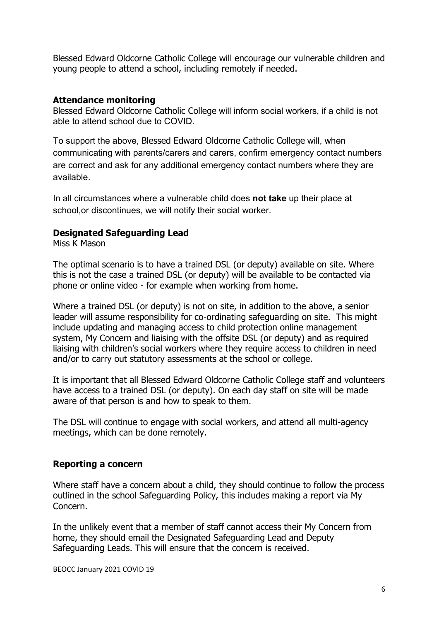Blessed Edward Oldcorne Catholic College will encourage our vulnerable children and young people to attend a school, including remotely if needed.

## **Attendance monitoring**

Blessed Edward Oldcorne Catholic College will inform social workers, if a child is not able to attend school due to COVID.

To support the above, Blessed Edward Oldcorne Catholic College will, when communicating with parents/carers and carers, confirm emergency contact numbers are correct and ask for any additional emergency contact numbers where they are available.

In all circumstances where a vulnerable child does **not take** up their place at school,or discontinues, we will notify their social worker.

## **Designated Safeguarding Lead**

Miss K Mason

The optimal scenario is to have a trained DSL (or deputy) available on site. Where this is not the case a trained DSL (or deputy) will be available to be contacted via phone or online video - for example when working from home.

Where a trained DSL (or deputy) is not on site, in addition to the above, a senior leader will assume responsibility for co-ordinating safeguarding on site. This might include updating and managing access to child protection online management system, My Concern and liaising with the offsite DSL (or deputy) and as required liaising with children's social workers where they require access to children in need and/or to carry out statutory assessments at the school or college.

It is important that all Blessed Edward Oldcorne Catholic College staff and volunteers have access to a trained DSL (or deputy). On each day staff on site will be made aware of that person is and how to speak to them.

The DSL will continue to engage with social workers, and attend all multi-agency meetings, which can be done remotely.

#### **Reporting a concern**

Where staff have a concern about a child, they should continue to follow the process outlined in the school Safeguarding Policy, this includes making a report via My Concern.

In the unlikely event that a member of staff cannot access their My Concern from home, they should email the Designated Safeguarding Lead and Deputy Safeguarding Leads. This will ensure that the concern is received.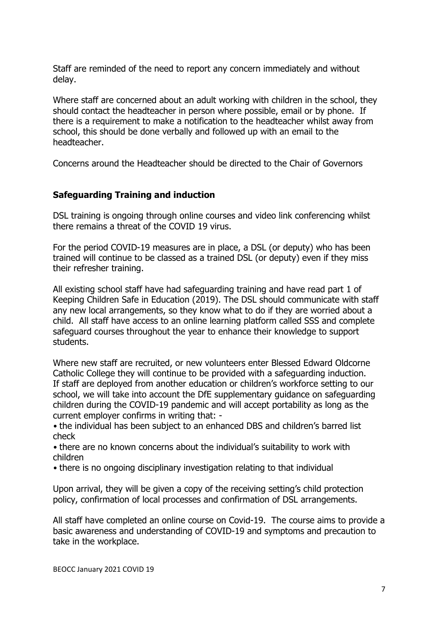Staff are reminded of the need to report any concern immediately and without delay.

Where staff are concerned about an adult working with children in the school, they should contact the headteacher in person where possible, email or by phone. If there is a requirement to make a notification to the headteacher whilst away from school, this should be done verbally and followed up with an email to the headteacher.

Concerns around the Headteacher should be directed to the Chair of Governors

## **Safeguarding Training and induction**

DSL training is ongoing through online courses and video link conferencing whilst there remains a threat of the COVID 19 virus.

For the period COVID-19 measures are in place, a DSL (or deputy) who has been trained will continue to be classed as a trained DSL (or deputy) even if they miss their refresher training.

All existing school staff have had safeguarding training and have read part 1 of Keeping Children Safe in Education (2019). The DSL should communicate with staff any new local arrangements, so they know what to do if they are worried about a child. All staff have access to an online learning platform called SSS and complete safeguard courses throughout the year to enhance their knowledge to support students.

Where new staff are recruited, or new volunteers enter Blessed Edward Oldcorne Catholic College they will continue to be provided with a safeguarding induction. If staff are deployed from another education or children's workforce setting to our school, we will take into account the DfE supplementary guidance on safeguarding children during the COVID-19 pandemic and will accept portability as long as the current employer confirms in writing that: -

• the individual has been subject to an enhanced DBS and children's barred list check

• there are no known concerns about the individual's suitability to work with children

• there is no ongoing disciplinary investigation relating to that individual

Upon arrival, they will be given a copy of the receiving setting's child protection policy, confirmation of local processes and confirmation of DSL arrangements.

All staff have completed an online course on Covid-19. The course aims to provide a basic awareness and understanding of COVID-19 and symptoms and precaution to take in the workplace.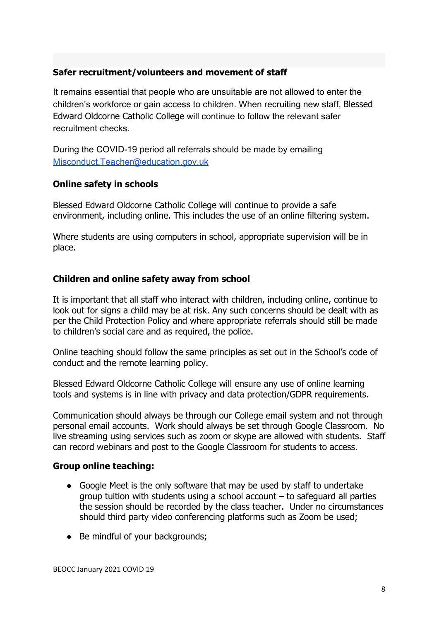## **Safer recruitment/volunteers and movement of staff**

It remains essential that people who are unsuitable are not allowed to enter the children's workforce or gain access to children. When recruiting new staff, Blessed Edward Oldcorne Catholic College will continue to follow the relevant safer recruitment checks.

During the COVID-19 period all referrals should be made by emailing [Misconduct.Teacher@education.gov.uk](mailto:Misconduct.Teacher@education.gov.uk)

## **Online safety in schools**

Blessed Edward Oldcorne Catholic College will continue to provide a safe environment, including online. This includes the use of an online filtering system.

Where students are using computers in school, appropriate supervision will be in place.

#### **Children and online safety away from school**

It is important that all staff who interact with children, including online, continue to look out for signs a child may be at risk. Any such concerns should be dealt with as per the Child Protection Policy and where appropriate referrals should still be made to children's social care and as required, the police.

Online teaching should follow the same principles as set out in the School's code of conduct and the remote learning policy.

Blessed Edward Oldcorne Catholic College will ensure any use of online learning tools and systems is in line with privacy and data protection/GDPR requirements.

Communication should always be through our College email system and not through personal email accounts. Work should always be set through Google Classroom. No live streaming using services such as zoom or skype are allowed with students. Staff can record webinars and post to the Google Classroom for students to access.

#### **Group online teaching:**

- Google Meet is the only software that may be used by staff to undertake group tuition with students using a school account – to safeguard all parties the session should be recorded by the class teacher. Under no circumstances should third party video conferencing platforms such as Zoom be used;
- Be mindful of your backgrounds;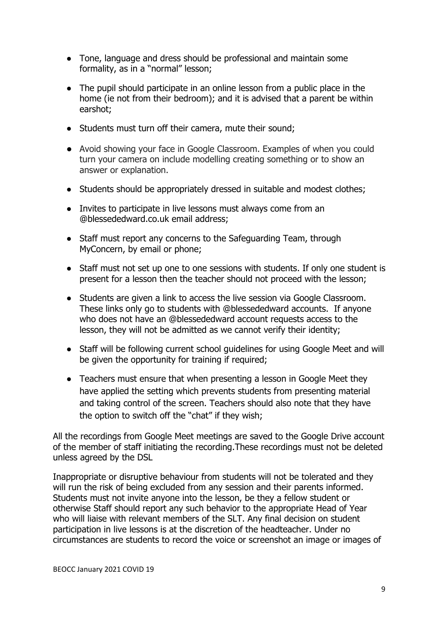- Tone, language and dress should be professional and maintain some formality, as in a "normal" lesson;
- The pupil should participate in an online lesson from a public place in the home (ie not from their bedroom); and it is advised that a parent be within earshot;
- Students must turn off their camera, mute their sound;
- Avoid showing your face in Google Classroom. Examples of when you could turn your camera on include modelling creating something or to show an answer or explanation.
- Students should be appropriately dressed in suitable and modest clothes;
- Invites to participate in live lessons must always come from an @blessededward.co.uk email address;
- Staff must report any concerns to the Safeguarding Team, through MyConcern, by email or phone;
- Staff must not set up one to one sessions with students. If only one student is present for a lesson then the teacher should not proceed with the lesson;
- Students are given a link to access the live session via Google Classroom. These links only go to students with @blessededward accounts. If anyone who does not have an @blessededward account requests access to the lesson, they will not be admitted as we cannot verify their identity;
- Staff will be following current school guidelines for using Google Meet and will be given the opportunity for training if required;
- Teachers must ensure that when presenting a lesson in Google Meet they have applied the setting which prevents students from presenting material and taking control of the screen. Teachers should also note that they have the option to switch off the "chat" if they wish;

All the recordings from Google Meet meetings are saved to the Google Drive account of the member of staff initiating the recording.These recordings must not be deleted unless agreed by the DSL

Inappropriate or disruptive behaviour from students will not be tolerated and they will run the risk of being excluded from any session and their parents informed. Students must not invite anyone into the lesson, be they a fellow student or otherwise Staff should report any such behavior to the appropriate Head of Year who will liaise with relevant members of the SLT. Any final decision on student participation in live lessons is at the discretion of the headteacher. Under no circumstances are students to record the voice or screenshot an image or images of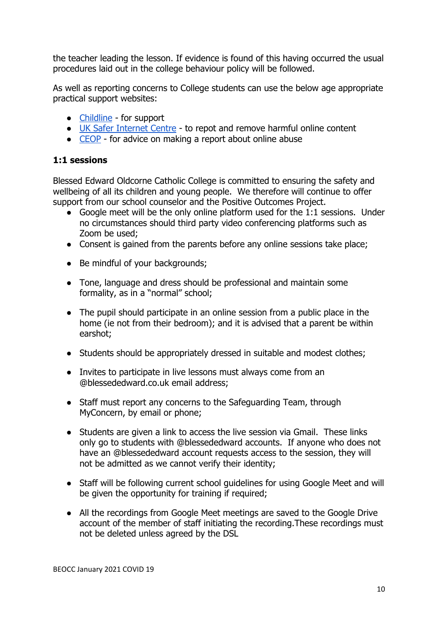the teacher leading the lesson. If evidence is found of this having occurred the usual procedures laid out in the college behaviour policy will be followed.

As well as reporting concerns to College students can use the below age appropriate practical support websites:

- [Childline](https://www.childline.org.uk/?utm_source=google&utm_medium=cpc&utm_campaign=UK_GO_S_B_BND_Grant_Childline_Information&utm_term=role_of_childline&gclsrc=aw.ds&&gclid=EAIaIQobChMIlfLRh-ez6AIVRrDtCh1N9QR2EAAYASAAEgLc-vD_BwE&gclsrc=aw.ds) for support
- [UK Safer Internet Centre](https://reportharmfulcontent.com/) to repot and remove harmful online content
- [CEOP](https://www.ceop.police.uk/safety-centre/) for advice on making a report about online abuse

## **1:1 sessions**

Blessed Edward Oldcorne Catholic College is committed to ensuring the safety and wellbeing of all its children and young people. We therefore will continue to offer support from our school counselor and the Positive Outcomes Project.

- Google meet will be the only online platform used for the 1:1 sessions. Under no circumstances should third party video conferencing platforms such as Zoom be used;
- Consent is gained from the parents before any online sessions take place;
- Be mindful of your backgrounds;
- Tone, language and dress should be professional and maintain some formality, as in a "normal" school;
- The pupil should participate in an online session from a public place in the home (ie not from their bedroom); and it is advised that a parent be within earshot;
- Students should be appropriately dressed in suitable and modest clothes;
- Invites to participate in live lessons must always come from an @blessededward.co.uk email address;
- Staff must report any concerns to the Safeguarding Team, through MyConcern, by email or phone;
- Students are given a link to access the live session via Gmail. These links only go to students with @blessededward accounts. If anyone who does not have an @blessededward account requests access to the session, they will not be admitted as we cannot verify their identity;
- Staff will be following current school guidelines for using Google Meet and will be given the opportunity for training if required;
- All the recordings from Google Meet meetings are saved to the Google Drive account of the member of staff initiating the recording.These recordings must not be deleted unless agreed by the DSL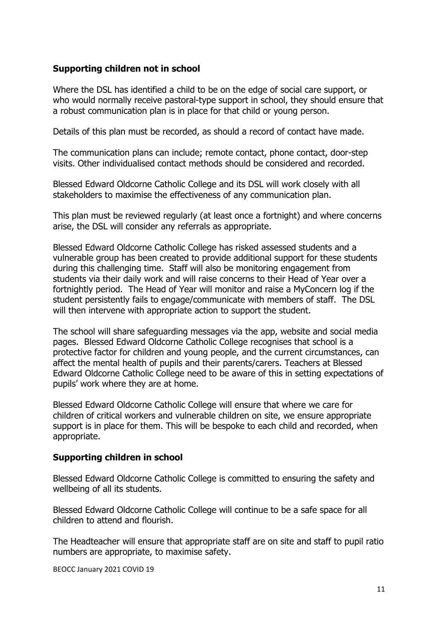## **Supporting children not in school**

Where the DSL has identified a child to be on the edge of social care support, or who would normally receive pastoral-type support in school, they should ensure that a robust communication plan is in place for that child or young person.

Details of this plan must be recorded, as should a record of contact have made.

The communication plans can include; remote contact, phone contact, door-step visits. Other individualised contact methods should be considered and recorded.

Blessed Edward Oldcorne Catholic College and its DSL will work closely with all stakeholders to maximise the effectiveness of any communication plan.

This plan must be reviewed regularly (at least once a fortnight) and where concerns arise, the DSL will consider any referrals as appropriate.

Blessed Edward Oldcorne Catholic College has risked assessed students and a vulnerable group has been created to provide additional support for these students during this challenging time. Staff will also be monitoring engagement from students via their daily work and will raise concerns to their Head of Year over a fortnightly period. The Head of Year will monitor and raise a MyConcern log if the student persistently fails to engage/communicate with members of staff. The DSL will then intervene with appropriate action to support the student.

The school will share safeguarding messages via the app, website and social media pages. Blessed Edward Oldcorne Catholic College recognises that school is a protective factor for children and young people, and the current circumstances, can affect the mental health of pupils and their parents/carers. Teachers at Blessed Edward Oldcorne Catholic College need to be aware of this in setting expectations of pupils' work where they are at home.

Blessed Edward Oldcorne Catholic College will ensure that where we care for children of critical workers and vulnerable children on site, we ensure appropriate support is in place for them. This will be bespoke to each child and recorded, when appropriate.

#### **Supporting children in school**

Blessed Edward Oldcorne Catholic College is committed to ensuring the safety and wellbeing of all its students.

Blessed Edward Oldcorne Catholic College will continue to be a safe space for all children to attend and flourish.

The Headteacher will ensure that appropriate staff are on site and staff to pupil ratio numbers are appropriate, to maximise safety.

BEOCC January 2021 COVID 19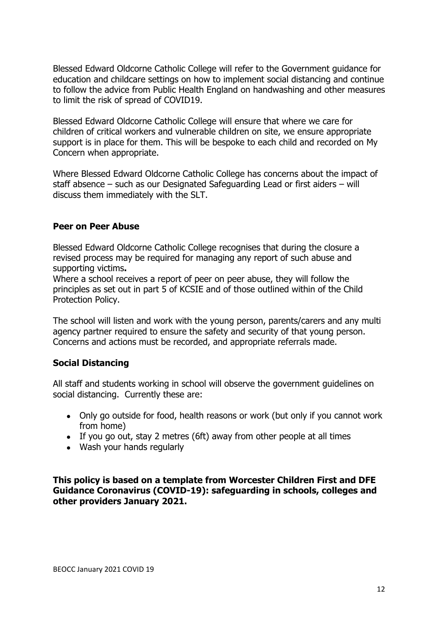Blessed Edward Oldcorne Catholic College will refer to the Government guidance for education and childcare settings on how to implement social distancing and continue to follow the advice from Public Health England on handwashing and other measures to limit the risk of spread of COVID19.

Blessed Edward Oldcorne Catholic College will ensure that where we care for children of critical workers and vulnerable children on site, we ensure appropriate support is in place for them. This will be bespoke to each child and recorded on My Concern when appropriate.

Where Blessed Edward Oldcorne Catholic College has concerns about the impact of staff absence – such as our Designated Safeguarding Lead or first aiders – will discuss them immediately with the SLT.

#### **Peer on Peer Abuse**

Blessed Edward Oldcorne Catholic College recognises that during the closure a revised process may be required for managing any report of such abuse and supporting victims**.**

Where a school receives a report of peer on peer abuse, they will follow the principles as set out in part 5 of KCSIE and of those outlined within of the Child Protection Policy.

The school will listen and work with the young person, parents/carers and any multi agency partner required to ensure the safety and security of that young person. Concerns and actions must be recorded, and appropriate referrals made.

#### **Social Distancing**

All staff and students working in school will observe the government guidelines on social distancing. Currently these are:

- Only go outside for food, health reasons or work (but only if you cannot work from home)
- If you go out, stay 2 metres (6ft) away from other people at all times
- Wash your hands regularly

**This policy is based on a template from Worcester Children First and DFE Guidance Coronavirus (COVID-19): safeguarding in schools, colleges and other providers January 2021.**